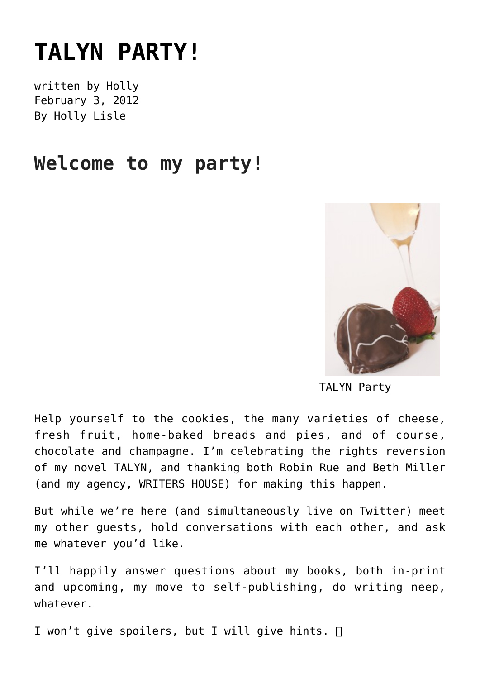## **[TALYN PARTY!](https://hollylisle.com/party/)**

written by Holly February 3, 2012 [By Holly Lisle](https://hollylisle.com)

## **Welcome to my party!**



TALYN Party

Help yourself to the cookies, the many varieties of cheese, fresh fruit, home-baked breads and pies, and of course, chocolate and champagne. I'm celebrating the rights reversion of my novel TALYN, and thanking both Robin Rue and Beth Miller (and my agency, WRITERS HOUSE) for making this happen.

But while we're here (and simultaneously live on Twitter) meet my other guests, hold conversations with each other, and ask me whatever you'd like.

I'll happily answer questions about my books, both in-print and upcoming, my move to self-publishing, do writing neep, whatever.

I won't give spoilers, but I will give hints.  $\Box$